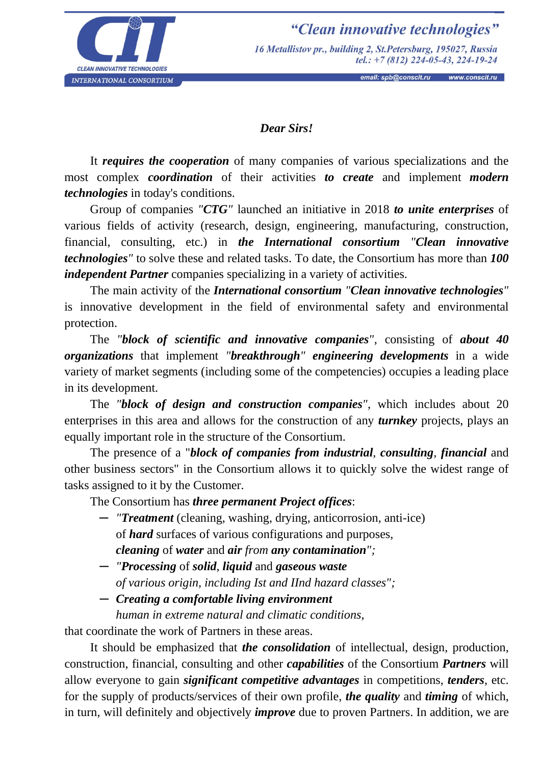

"Clean innovative technologies" 16 Metallistov pr., building 2, St. Petersburg, 195027, Russia tel.:  $+7(812)$  224-05-43, 224-19-24

## *Dear Sirs!*

It *requires the cooperation* of many companies of various specializations and the most complex *coordination* of their activities *to create* and implement *modern technologies* in today's conditions.

Group of companies *"CTG"* launched an initiative in 2018 *to unite enterprises* of various fields of activity (research, design, engineering, manufacturing, construction, financial, consulting, etc.) in *the International consortium "Clean innovative technologies"* to solve these and related tasks. To date, the Consortium has more than *100 independent Partner* companies specializing in a variety of activities.

The main activity of the *International consortium "Clean innovative technologies"* is innovative development in the field of environmental safety and environmental protection.

The *"block of scientific and innovative companies"*, consisting of *about 40 organizations* that implement *"breakthrough" engineering developments* in a wide variety of market segments (including some of the competencies) occupies a leading place in its development.

The *"block of design and construction companies"*, which includes about 20 enterprises in this area and allows for the construction of any *turnkey* projects, plays an equally important role in the structure of the Consortium.

The presence of a "*block of companies from industrial, consulting, financial* and other business sectors" in the Consortium allows it to quickly solve the widest range of tasks assigned to it by the Customer.

The Consortium has *three permanent Project offices*:

- ─ *"Treatment* (cleaning, washing, drying, anticorrosion, anti-ice) of *hard* surfaces of various configurations and purposes, *cleaning* of *water* and *air from any contamination";*
- ─ *"Processing* of *solid*, *liquid* and *gaseous waste of various origin, including Ist and IInd hazard classes";*
- ─ *Creating a comfortable living environment*

*human in extreme natural and climatic conditions*,

that coordinate the work of Partners in these areas.

It should be emphasized that *the consolidation* of intellectual, design, production, construction, financial, consulting and other *capabilities* of the Consortium *Partners* will allow everyone to gain *significant competitive advantages* in competitions, *tenders*, etc. for the supply of products/services of their own profile, *the quality* and *timing* of which, in turn, will definitely and objectively *improve* due to proven Partners. In addition, we are